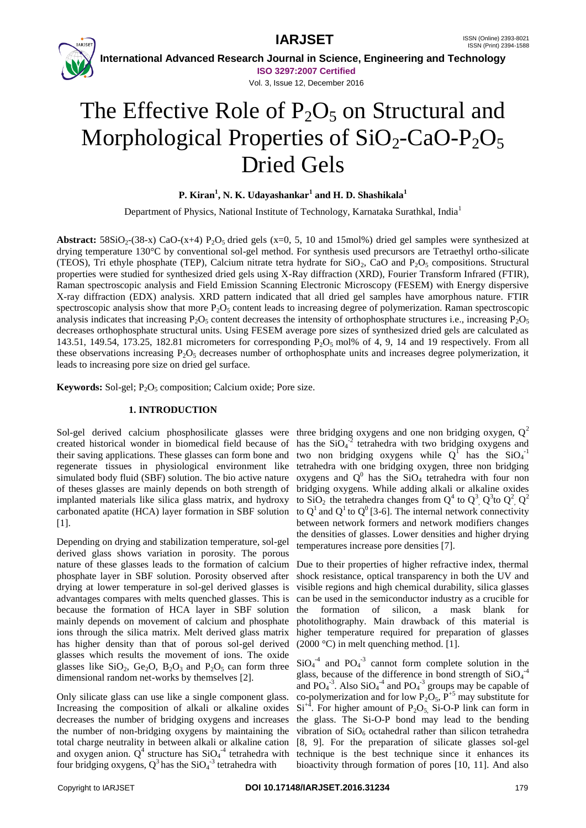



 **International Advanced Research Journal in Science, Engineering and Technology ISO 3297:2007 Certified**

Vol. 3, Issue 12, December 2016

# The Effective Role of  $P_2O_5$  on Structural and Morphological Properties of  $SiO<sub>2</sub>-CaO-P<sub>2</sub>O<sub>5</sub>$ Dried Gels

**P. Kiran<sup>1</sup> , N. K. Udayashankar<sup>1</sup> and H. D. Shashikala<sup>1</sup>**

Department of Physics, National Institute of Technology, Karnataka Surathkal, India<sup>1</sup>

**Abstract:**  $58SiO<sub>2</sub>-(38-x) CaO-(x+4) P<sub>2</sub>O<sub>5</sub> dried gels (x=0, 5, 10 and 15mol%) dried gel samples were synthesized at$ drying temperature 130°C by conventional sol-gel method. For synthesis used precursors are Tetraethyl ortho-silicate (TEOS), Tri ethyle phosphate (TEP), Calcium nitrate tetra hydrate for  $SiO_2$ , CaO and  $P_2O_5$  compositions. Structural properties were studied for synthesized dried gels using X-Ray diffraction (XRD), Fourier Transform Infrared (FTIR), Raman spectroscopic analysis and Field Emission Scanning Electronic Microscopy (FESEM) with Energy dispersive X-ray diffraction (EDX) analysis. XRD pattern indicated that all dried gel samples have amorphous nature. FTIR spectroscopic analysis show that more  $P_2O_5$  content leads to increasing degree of polymerization. Raman spectroscopic analysis indicates that increasing  $P_2O_5$  content decreases the intensity of orthophosphate structures i.e., increasing  $P_2O_5$ decreases orthophosphate structural units. Using FESEM average pore sizes of synthesized dried gels are calculated as 143.51, 149.54, 173.25, 182.81 micrometers for corresponding  $P_2O_5$  mol% of 4, 9, 14 and 19 respectively. From all these observations increasing  $P_2O_5$  decreases number of orthophosphate units and increases degree polymerization, it leads to increasing pore size on dried gel surface.

**Keywords:** Sol-gel; P<sub>2</sub>O<sub>5</sub> composition; Calcium oxide; Pore size.

## **1. INTRODUCTION**

created historical wonder in biomedical field because of has the  $SiO<sub>4</sub><sup>-2</sup>$  tetrahedra with two bridging oxygens and their saving applications. These glasses can form bone and two non bridging oxygens while  $Q^T$  has the SiO<sub>4</sub><sup>-1</sup> regenerate tissues in physiological environment like tetrahedra with one bridging oxygen, three non bridging simulated body fluid (SBF) solution. The bio active nature oxygens and  $Q^0$  has the SiO<sub>4</sub> tetrahedra with four non of theses glasses are mainly depends on both strength of bridging oxygens. While adding alkali or alkaline oxides implanted materials like silica glass matrix, and hydroxy to SiO<sub>2</sub> the tetrahedra changes from Q<sup>4</sup> to Q<sup>3</sup>, Q<sup>3</sup>to Q<sup>2</sup>, Q<sup>2</sup> carbonated apatite (HCA) layer formation in SBF solution to  $Q^1$  and  $Q^1$  to  $Q^0$  [3-6]. The internal network connectivity [1].

Depending on drying and stabilization temperature, sol-gel derived glass shows variation in porosity. The porous nature of these glasses leads to the formation of calcium Due to their properties of higher refractive index, thermal phosphate layer in SBF solution. Porosity observed after drying at lower temperature in sol-gel derived glasses is advantages compares with melts quenched glasses. This is because the formation of HCA layer in SBF solution mainly depends on movement of calcium and phosphate ions through the silica matrix. Melt derived glass matrix has higher density than that of porous sol-gel derived glasses which results the movement of ions. The oxide glasses like  $SiO_2$ ,  $Ge_2O$ ,  $B_2O_3$  and  $P_2O_5$  can form three dimensional random net-works by themselves [2].

Only silicate glass can use like a single component glass. Increasing the composition of alkali or alkaline oxides decreases the number of bridging oxygens and increases the number of non-bridging oxygens by maintaining the four bridging oxygens,  $Q^3$  has the SiO<sub>4</sub><sup>-3</sup> tetrahedra with

Sol-gel derived calcium phosphosilicate glasses were three bridging oxygens and one non bridging oxygen,  $Q^2$ between network formers and network modifiers changes the densities of glasses. Lower densities and higher drying temperatures increase pore densities [7].

> shock resistance, optical transparency in both the UV and visible regions and high chemical durability, silica glasses can be used in the semiconductor industry as a crucible for the formation of silicon, a mask blank for photolithography. Main drawback of this material is higher temperature required for preparation of glasses (2000 °C) in melt quenching method. [1].

total charge neutrality in between alkali or alkaline cation [8, 9]. For the preparation of silicate glasses sol-gel and oxygen anion.  $Q^4$  structure has  $SiO_4^{-4}$  tetrahedra with technique is the best technique since it enhances its  $SiO<sub>4</sub><sup>-4</sup>$  and PO<sub>4</sub><sup>-3</sup> cannot form complete solution in the glass, because of the difference in bond strength of  $SiO<sub>4</sub><sup>-4</sup>$ and  $PO<sub>4</sub><sup>-3</sup>$ . Also  $SiO<sub>4</sub><sup>-4</sup>$  and  $PO<sub>4</sub><sup>-3</sup>$  groups may be capable of co-polymerization and for low  $P_2O_5$ ,  $P_5^{+5}$  may substitute for  $Si^{+4}$ . For higher amount of P<sub>2</sub>O<sub>5</sub>, Si-O-P link can form in the glass. The Si-O-P bond may lead to the bending vibration of  $SiO<sub>6</sub>$  octahedral rather than silicon tetrahedra bioactivity through formation of pores [10, 11]. And also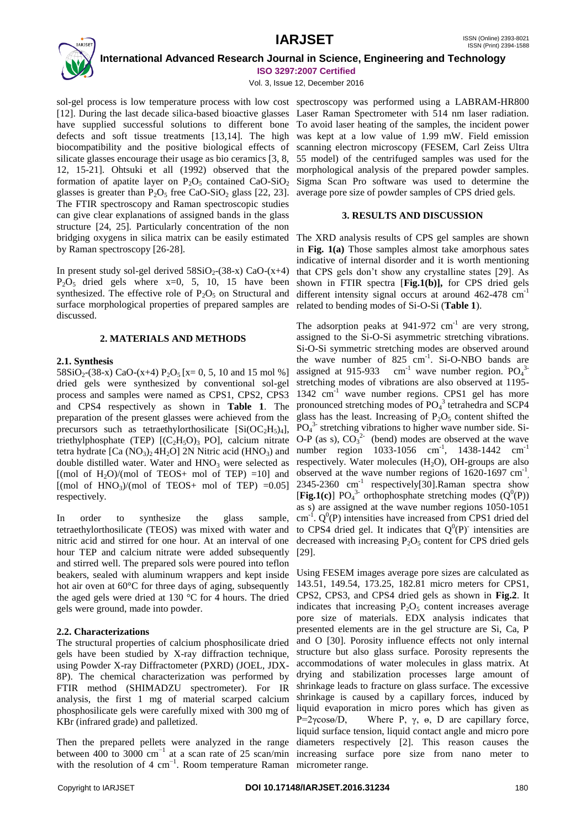

 **International Advanced Research Journal in Science, Engineering and Technology ISO 3297:2007 Certified**

Vol. 3, Issue 12, December 2016

sol-gel process is low temperature process with low cost spectroscopy was performed using a LABRAM-HR800 [12]. During the last decade silica-based bioactive glasses Laser Raman Spectrometer with 514 nm laser radiation. have supplied successful solutions to different bone To avoid laser heating of the samples, the incident power defects and soft tissue treatments [13,14]. The high was kept at a low value of 1.99 mW. Field emission biocompatibility and the positive biological effects of scanning electron microscopy (FESEM, Carl Zeiss Ultra silicate glasses encourage their usage as bio ceramics [3, 8, 55 model) of the centrifuged samples was used for the 12, 15-21]. Ohtsuki et all (1992) observed that the morphological analysis of the prepared powder samples. formation of apatite layer on  $P_2O_5$  contained  $CaO-SiO_2$  Sigma Scan Pro software was used to determine the glasses is greater than  $P_2O_5$  free CaO-SiO<sub>2</sub> glass [22, 23]. The FTIR spectroscopy and Raman spectroscopic studies can give clear explanations of assigned bands in the glass structure [24, 25]. Particularly concentration of the non bridging oxygens in silica matrix can be easily estimated by Raman spectroscopy [26-28].

In present study sol-gel derived  $58SiO<sub>2</sub>(38-x) CaO-(x+4)$  $P_2O_5$  dried gels where  $x=0$ , 5, 10, 15 have been synthesized. The effective role of  $P_2O_5$  on Structural and surface morphological properties of prepared samples are discussed.

## **2. MATERIALS AND METHODS**

## **2.1. Synthesis**

 $58SiO<sub>2</sub>-(38-x) CaO-(x+4) P<sub>2</sub>O<sub>5</sub> [x= 0, 5, 10 and 15 mol %]$ dried gels were synthesized by conventional sol-gel process and samples were named as CPS1, CPS2, CPS3 and CPS4 respectively as shown in **Table 1**. The preparation of the present glasses were achieved from the precursors such as tetraethylorthosilicate  $[Si(OC<sub>2</sub>H<sub>5</sub>)<sub>4</sub>]$ , triethylphosphate (TEP)  $[(C_2H_5O)_3$  PO], calcium nitrate tetra hydrate  $[Ca (NO<sub>3</sub>)<sub>2</sub> 4H<sub>2</sub>O] 2N N$ itric acid  $(HNO<sub>3</sub>)$  and double distilled water. Water and  $HNO<sub>3</sub>$  were selected as [(mol of  $H_2O$ )/(mol of TEOS+ mol of TEP) =10] and  $[(\text{mol of HNO}_3)/(\text{mol of TEOS+ mol of TEP}) = 0.05]$ respectively.

In order to synthesize the glass sample, tetraethylorthosilicate (TEOS) was mixed with water and nitric acid and stirred for one hour. At an interval of one hour TEP and calcium nitrate were added subsequently and stirred well. The prepared sols were poured into teflon beakers, sealed with aluminum wrappers and kept inside hot air oven at 60°C for three days of aging, subsequently the aged gels were dried at 130  $\degree$ C for 4 hours. The dried gels were ground, made into powder.

## **2.2. Characterizations**

The structural properties of calcium phosphosilicate dried gels have been studied by X-ray diffraction technique, using Powder X-ray Diffractometer (PXRD) (JOEL, JDX-8P). The chemical characterization was performed by FTIR method (SHIMADZU spectrometer). For IR analysis, the first 1 mg of material scarped calcium phosphosilicate gels were carefully mixed with 300 mg of KBr (infrared grade) and palletized.

Then the prepared pellets were analyzed in the range diameters respectively [2]. This reason causes the between 400 to 3000 cm<sup>-1</sup> at a scan rate of 25 scan/min increasing surface pore size from nano meter to with the resolution of 4 cm<sup>-1</sup>. Room temperature Raman micrometer range.

average pore size of powder samples of CPS dried gels.

## **3. RESULTS AND DISCUSSION**

The XRD analysis results of CPS gel samples are shown in **Fig. 1(a)** Those samples almost take amorphous sates indicative of internal disorder and it is worth mentioning that CPS gels don't show any crystalline states [29]. As shown in FTIR spectra [**Fig.1(b)],** for CPS dried gels different intensity signal occurs at around 462-478 cm<sup>-1</sup> related to bending modes of Si-O-Si (**Table 1**).

The adsorption peaks at  $941-972$  cm<sup>-1</sup> are very strong, assigned to the Si-O-Si asymmetric stretching vibrations. Si-O-Si symmetric stretching modes are observed around the wave number of 825 cm<sup>-1</sup>. Si-O-NBO bands are assigned at 915-933 cm<sup>-1</sup> wave number region.  $PQ<sub>4</sub><sup>3</sup>$ stretching modes of vibrations are also observed at 1195- 1342 cm<sup>-1</sup> wave number regions. CPS1 gel has more pronounced stretching modes of PO<sub>4</sub><sup>3</sup> tetrahedra and SCP4 glass has the least. Increasing of  $P_2O_5$  content shifted the PO<sub>4</sub><sup>3</sup> stretching vibrations to higher wave number side. Si-O-P (as s),  $CO_3^2$  (bend) modes are observed at the wave number region 1033-1056 cm<sup>-1</sup>, 1438-1442 cm<sup>-1</sup> respectively. Water molecules  $(H_2O)$ , OH-groups are also observed at the wave number regions of  $1620-1697$  cm<sup>-1</sup>,  $2345-2360$  cm<sup>-1</sup> respectively[30].Raman spectra show [Fig.1(c)]  $PO_4^3$  orthophosphate stretching modes  $(Q^0(P))$ as s) are assigned at the wave number regions 1050-1051  $\text{cm}^{-1}$ .  $\text{Q}^0$ (P) intensities have increased from CPS1 dried del to CPS4 dried gel. It indicates that  $Q^{0}(P)$  intensities are decreased with increasing  $P_2O_5$  content for CPS dried gels [29].

Using FESEM images average pore sizes are calculated as 143.51, 149.54, 173.25, 182.81 micro meters for CPS1, CPS2, CPS3, and CPS4 dried gels as shown in **Fig.2**. It indicates that increasing  $P_2O_5$  content increases average pore size of materials. EDX analysis indicates that presented elements are in the gel structure are Si, Ca, P and O [30]. Porosity influence effects not only internal structure but also glass surface. Porosity represents the accommodations of water molecules in glass matrix. At drying and stabilization processes large amount of shrinkage leads to fracture on glass surface. The excessive shrinkage is caused by a capillary forces, induced by liquid evaporation in micro pores which has given as P=2γcosѳ/D, Where P, γ,  $θ$ , D are capillary force, liquid surface tension, liquid contact angle and micro pore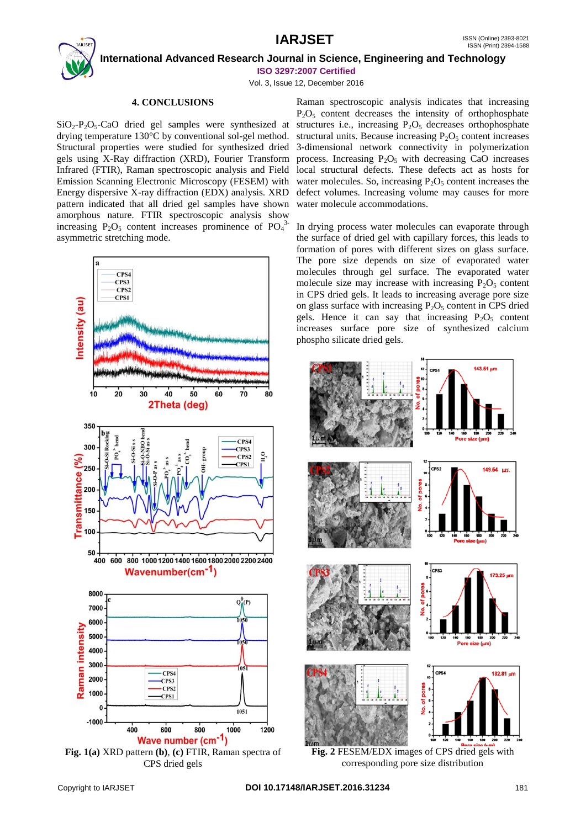## **IARJSET** ISSN (Online) 2393-8021



 **International Advanced Research Journal in Science, Engineering and Technology ISO 3297:2007 Certified**

Vol. 3, Issue 12, December 2016

## **4. CONCLUSIONS**

 $SiO_2-P_2O_5-CaO$  dried gel samples were synthesized at structures i.e., increasing  $P_2O_5$  decreases orthophosphate drying temperature 130°C by conventional sol-gel method. Structural properties were studied for synthesized dried gels using X-Ray diffraction (XRD), Fourier Transform Infrared (FTIR), Raman spectroscopic analysis and Field Emission Scanning Electronic Microscopy (FESEM) with Energy dispersive X-ray diffraction (EDX) analysis. XRD pattern indicated that all dried gel samples have shown amorphous nature. FTIR spectroscopic analysis show increasing  $P_2O_5$  content increases prominence of  $PO_4^{3}$ asymmetric stretching mode.



**Fig. 1(a)** XRD pattern **(b)**, **(c)** FTIR, Raman spectra of CPS dried gels

Raman spectroscopic analysis indicates that increasing  $P_2O_5$  content decreases the intensity of orthophosphate structural units. Because increasing  $P_2O_5$  content increases 3-dimensional network connectivity in polymerization process. Increasing  $P_2O_5$  with decreasing CaO increases local structural defects. These defects act as hosts for water molecules. So, increasing  $P_2O_5$  content increases the defect volumes. Increasing volume may causes for more water molecule accommodations.

In drying process water molecules can evaporate through the surface of dried gel with capillary forces, this leads to formation of pores with different sizes on glass surface. The pore size depends on size of evaporated water molecules through gel surface. The evaporated water molecule size may increase with increasing  $P_2O_5$  content in CPS dried gels. It leads to increasing average pore size on glass surface with increasing  $P_2O_5$  content in CPS dried gels. Hence it can say that increasing  $P_2O_5$  content increases surface pore size of synthesized calcium phospho silicate dried gels.



**Fig. 2** FESEM/EDX images of CPS dried gels with corresponding pore size distribution